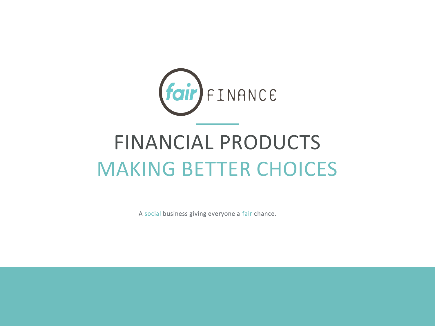

# FINANCIAL PRODUCTS MAKING BETTER CHOICES

A social business giving everyone a fair chance.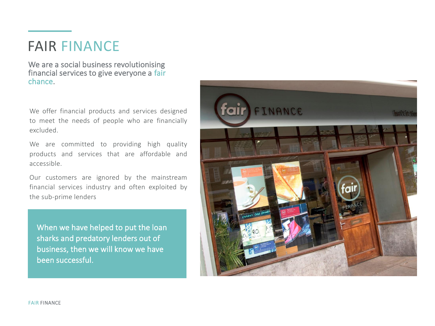# FAIR FINANCE

We are a social business revolutionising financial services to give everyone a fair chance.

We offer financial products and services designed to meet the needs of people who are financially excluded.

We are committed to providing high quality products and services that are affordable and accessible.

Our customers are ignored by the mainstream financial services industry and often exploited by the sub-prime lenders

When we have helped to put the loan sharks and predatory lenders out of business, then we will know we have been successful.

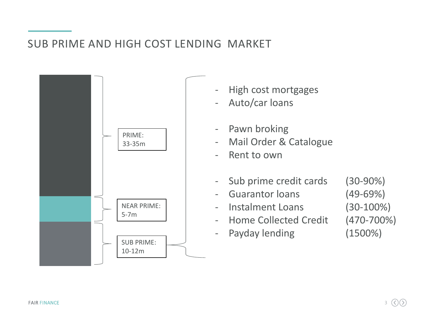#### SUB PRIME AND HIGH COST LENDING MARKET

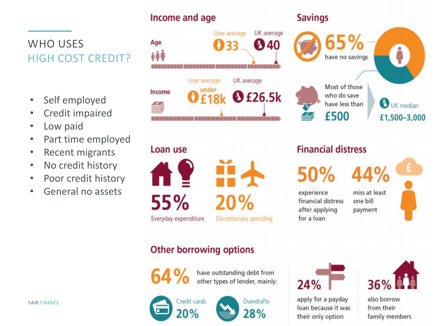# WHO USES HIGH COST CREDIT?

- Self employed
- Credit impaired
- Low paid
- Part time employed
- Recent migrants
- No credit history
- Poor credit history
- General no assets



#### **Savings**



UK median £1,500-3,000

# **Financial distress**

have less than

£500

50%

experience financial distress after applying for a loan

miss at least one bill payment

44%

### Other borrowing options



have outstanding debt from other types of lender, mainly:





 $24%$ 

FAIR FINANCE CHECK CHECK CHECK CHECK CHECK CHECK CHECK CHECK CHECK CHECK CHECK CHECK CHECK CHECK CHECK CHECK CHECK CHECK CHECK CHECK CHECK CHECK CHECK CHECK CHECK CHECK CHECK CHECK CHECK CHECK CHECK CHECK CHECK CHECK CHECK their only option



family members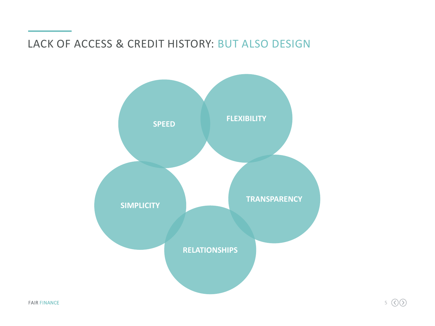#### LACK OF ACCESS & CREDIT HISTORY: BUT ALSO DESIGN

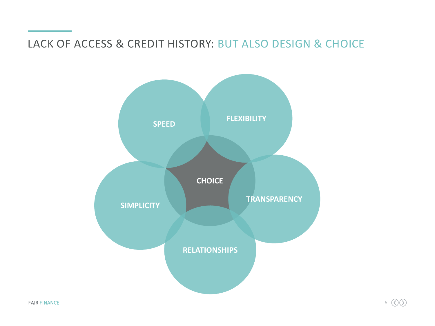#### LACK OF ACCESS & CREDIT HISTORY: BUT ALSO DESIGN & CHOICE

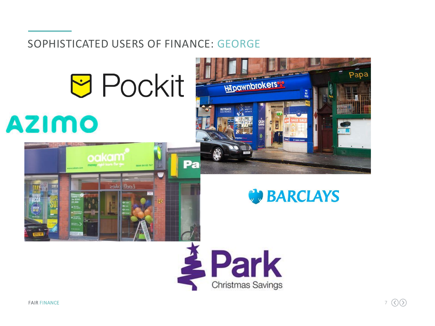#### SOPHISTICATED USERS OF FINANCE: GEORGE











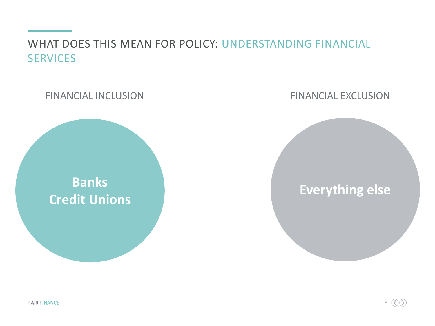WHAT DOES THIS MEAN FOR POLICY: UNDERSTANDING FINANCIAL **SERVICES** 

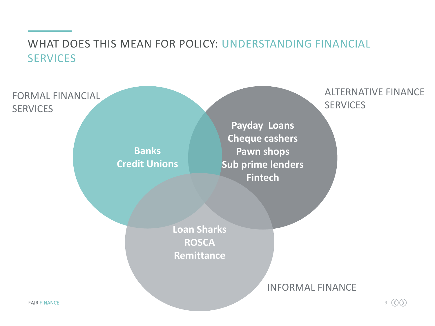# WHAT DOES THIS MEAN FOR POLICY: UNDERSTANDING FINANCIAL **SERVICES**

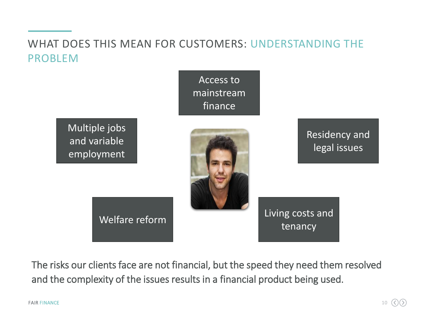# WHAT DOES THIS MEAN FOR CUSTOMERS: UNDERSTANDING THE PROBLEM



The risks our clients face are not financial, but the speed they need them resolved and the complexity of the issues results in a financial product being used.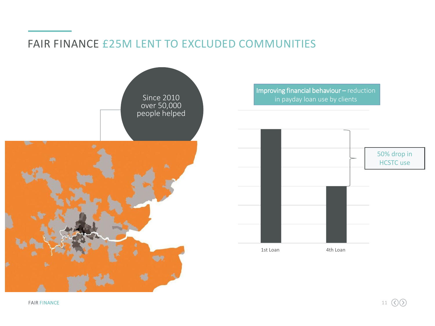#### FAIR FINANCE £25M LENT TO EXCLUDED COMMUNITIES



Improving financial behaviour – reduction



FAIR FINANCE **11**